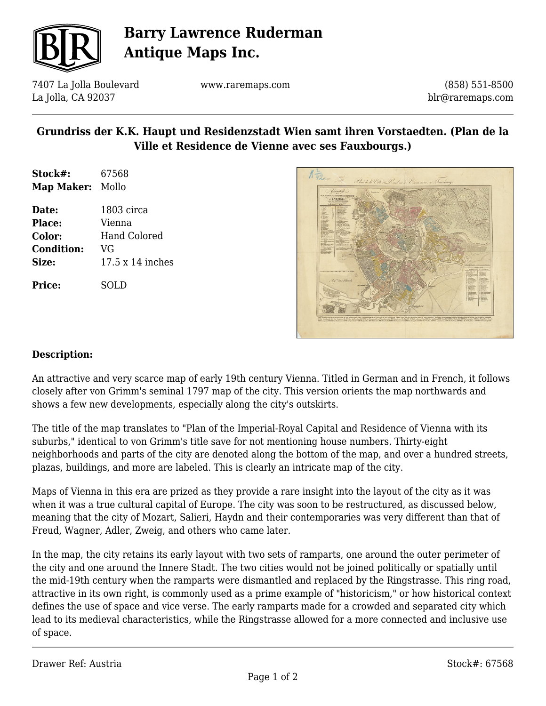

# **Barry Lawrence Ruderman Antique Maps Inc.**

7407 La Jolla Boulevard La Jolla, CA 92037

www.raremaps.com

(858) 551-8500 blr@raremaps.com

## **Grundriss der K.K. Haupt und Residenzstadt Wien samt ihren Vorstaedten. (Plan de la Ville et Residence de Vienne avec ses Fauxbourgs.)**

- **Stock#:** 67568 **Map Maker:** Mollo
- **Date:** 1803 circa **Place:** Vienna **Color:** Hand Colored **Condition:** VG **Size:** 17.5 x 14 inches

**Price:** SOLD



#### **Description:**

An attractive and very scarce map of early 19th century Vienna. Titled in German and in French, it follows closely after von Grimm's seminal 1797 map of the city. This version orients the map northwards and shows a few new developments, especially along the city's outskirts.

The title of the map translates to "Plan of the Imperial-Royal Capital and Residence of Vienna with its suburbs," identical to von Grimm's title save for not mentioning house numbers. Thirty-eight neighborhoods and parts of the city are denoted along the bottom of the map, and over a hundred streets, plazas, buildings, and more are labeled. This is clearly an intricate map of the city.

Maps of Vienna in this era are prized as they provide a rare insight into the layout of the city as it was when it was a true cultural capital of Europe. The city was soon to be restructured, as discussed below, meaning that the city of Mozart, Salieri, Haydn and their contemporaries was very different than that of Freud, Wagner, Adler, Zweig, and others who came later.

In the map, the city retains its early layout with two sets of ramparts, one around the outer perimeter of the city and one around the Innere Stadt. The two cities would not be joined politically or spatially until the mid-19th century when the ramparts were dismantled and replaced by the Ringstrasse. This ring road, attractive in its own right, is commonly used as a prime example of "historicism," or how historical context defines the use of space and vice verse. The early ramparts made for a crowded and separated city which lead to its medieval characteristics, while the Ringstrasse allowed for a more connected and inclusive use of space.